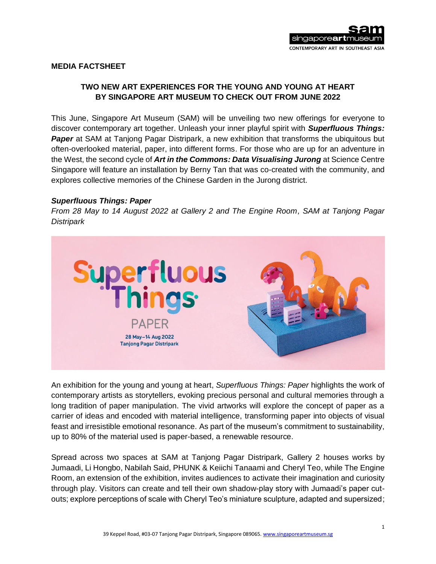# **MEDIA FACTSHEET**

# **TWO NEW ART EXPERIENCES FOR THE YOUNG AND YOUNG AT HEART BY SINGAPORE ART MUSEUM TO CHECK OUT FROM JUNE 2022**

This June, Singapore Art Museum (SAM) will be unveiling two new offerings for everyone to discover contemporary art together. Unleash your inner playful spirit with *Superfluous Things:*  **Paper** at SAM at Tanjong Pagar Distripark, a new exhibition that transforms the ubiquitous but often-overlooked material, paper, into different forms. For those who are up for an adventure in the West, the second cycle of *Art in the Commons: Data Visualising Jurong* at Science Centre Singapore will feature an installation by Berny Tan that was co-created with the community, and explores collective memories of the Chinese Garden in the Jurong district.

#### *Superfluous Things: Paper*

*From 28 May to 14 August 2022 at Gallery 2 and The Engine Room, SAM at Tanjong Pagar Distripark*



An exhibition for the young and young at heart, *Superfluous Things: Paper* highlights the work of contemporary artists as storytellers, evoking precious personal and cultural memories through a long tradition of paper manipulation. The vivid artworks will explore the concept of paper as a carrier of ideas and encoded with material intelligence, transforming paper into objects of visual feast and irresistible emotional resonance. As part of the museum's commitment to sustainability, up to 80% of the material used is paper-based, a renewable resource.

Spread across two spaces at SAM at Tanjong Pagar Distripark, Gallery 2 houses works by Jumaadi, Li Hongbo, Nabilah Said, PHUNK & Keiichi Tanaami and Cheryl Teo, while The Engine Room, an extension of the exhibition, invites audiences to activate their imagination and curiosity through play. Visitors can create and tell their own shadow-play story with Jumaadi's paper cutouts; explore perceptions of scale with Cheryl Teo's miniature sculpture, adapted and supersized;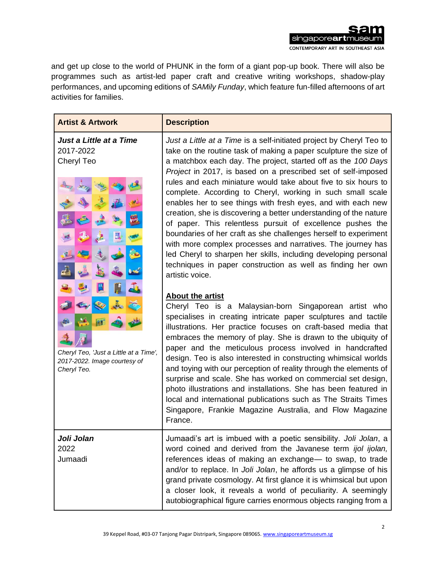singaporeartmus

CONTEMPORARY ART IN SOUTHEAST ASIA

and get up close to the world of PHUNK in the form of a giant pop-up book. There will also be programmes such as artist-led paper craft and creative writing workshops, shadow-play performances, and upcoming editions of *SAMily Funday*, which feature fun-filled afternoons of art activities for families.

| <b>Artist &amp; Artwork</b>                                                                                                                 | <b>Description</b>                                                                                                                                                                                                                                                                                                                                                                                                                                                                                                                                                                                                                                                                                                                                                                                                                                                                                                                                                                                                                                                                                                          |
|---------------------------------------------------------------------------------------------------------------------------------------------|-----------------------------------------------------------------------------------------------------------------------------------------------------------------------------------------------------------------------------------------------------------------------------------------------------------------------------------------------------------------------------------------------------------------------------------------------------------------------------------------------------------------------------------------------------------------------------------------------------------------------------------------------------------------------------------------------------------------------------------------------------------------------------------------------------------------------------------------------------------------------------------------------------------------------------------------------------------------------------------------------------------------------------------------------------------------------------------------------------------------------------|
| Just a Little at a Time<br>2017-2022<br>Cheryl Teo<br>Cheryl Teo, 'Just a Little at a Time',<br>2017-2022. Image courtesy of<br>Cheryl Teo. | Just a Little at a Time is a self-initiated project by Cheryl Teo to<br>take on the routine task of making a paper sculpture the size of<br>a matchbox each day. The project, started off as the 100 Days<br>Project in 2017, is based on a prescribed set of self-imposed<br>rules and each miniature would take about five to six hours to<br>complete. According to Cheryl, working in such small scale<br>enables her to see things with fresh eyes, and with each new<br>creation, she is discovering a better understanding of the nature<br>of paper. This relentless pursuit of excellence pushes the<br>boundaries of her craft as she challenges herself to experiment<br>with more complex processes and narratives. The journey has<br>led Cheryl to sharpen her skills, including developing personal<br>techniques in paper construction as well as finding her own<br>artistic voice.<br><b>About the artist</b><br>Cheryl Teo is a Malaysian-born Singaporean artist who<br>specialises in creating intricate paper sculptures and tactile<br>illustrations. Her practice focuses on craft-based media that |
|                                                                                                                                             | embraces the memory of play. She is drawn to the ubiquity of<br>paper and the meticulous process involved in handcrafted<br>design. Teo is also interested in constructing whimsical worlds<br>and toying with our perception of reality through the elements of<br>surprise and scale. She has worked on commercial set design,<br>photo illustrations and installations. She has been featured in<br>local and international publications such as The Straits Times<br>Singapore, Frankie Magazine Australia, and Flow Magazine<br>France.                                                                                                                                                                                                                                                                                                                                                                                                                                                                                                                                                                                |
| Joli Jolan<br>2022<br>Jumaadi                                                                                                               | Jumaadi's art is imbued with a poetic sensibility. Joli Jolan, a<br>word coined and derived from the Javanese term ijol ijolan,<br>references ideas of making an exchange- to swap, to trade<br>and/or to replace. In Joli Jolan, he affords us a glimpse of his<br>grand private cosmology. At first glance it is whimsical but upon<br>a closer look, it reveals a world of peculiarity. A seemingly<br>autobiographical figure carries enormous objects ranging from a                                                                                                                                                                                                                                                                                                                                                                                                                                                                                                                                                                                                                                                   |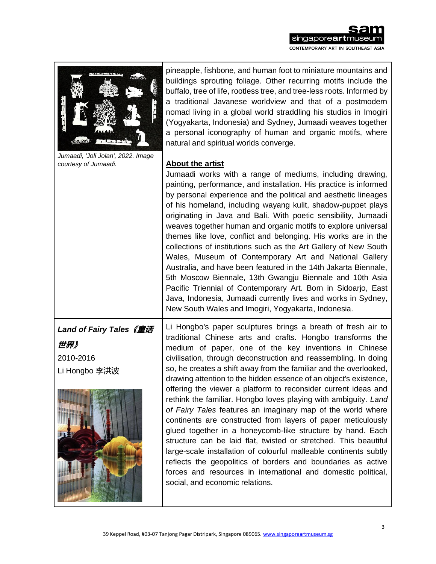# sam singaporeartmuseum CONTEMPORARY ART IN SOUTHEAST ASIA

| <b>WEBSTERS</b><br>214422337<br>$\frac{1}{2}$               | pineapple, fishbone, and human foot to miniature mountains and<br>buildings sprouting foliage. Other recurring motifs include the<br>buffalo, tree of life, rootless tree, and tree-less roots. Informed by<br>a traditional Javanese worldview and that of a postmodern<br>nomad living in a global world straddling his studios in Imogiri<br>(Yogyakarta, Indonesia) and Sydney, Jumaadi weaves together<br>a personal iconography of human and organic motifs, where<br>natural and spiritual worlds converge.                                                                                                                                                                                                                                                                                                                                                                                                                                                                                                                              |
|-------------------------------------------------------------|-------------------------------------------------------------------------------------------------------------------------------------------------------------------------------------------------------------------------------------------------------------------------------------------------------------------------------------------------------------------------------------------------------------------------------------------------------------------------------------------------------------------------------------------------------------------------------------------------------------------------------------------------------------------------------------------------------------------------------------------------------------------------------------------------------------------------------------------------------------------------------------------------------------------------------------------------------------------------------------------------------------------------------------------------|
| Jumaadi, 'Joli Jolan', 2022. Image<br>courtesy of Jumaadi.  | <b>About the artist</b><br>Jumaadi works with a range of mediums, including drawing,<br>painting, performance, and installation. His practice is informed<br>by personal experience and the political and aesthetic lineages<br>of his homeland, including wayang kulit, shadow-puppet plays<br>originating in Java and Bali. With poetic sensibility, Jumaadi<br>weaves together human and organic motifs to explore universal<br>themes like love, conflict and belonging. His works are in the<br>collections of institutions such as the Art Gallery of New South<br>Wales, Museum of Contemporary Art and National Gallery<br>Australia, and have been featured in the 14th Jakarta Biennale,<br>5th Moscow Biennale, 13th Gwangju Biennale and 10th Asia<br>Pacific Triennial of Contemporary Art. Born in Sidoarjo, East<br>Java, Indonesia, Jumaadi currently lives and works in Sydney,<br>New South Wales and Imogiri, Yogyakarta, Indonesia.                                                                                         |
| Land of Fairy Tales《童话<br>世界》<br>2010-2016<br>Li Hongbo 李洪波 | Li Hongbo's paper sculptures brings a breath of fresh air to<br>traditional Chinese arts and crafts. Hongbo transforms the<br>medium of paper, one of the key inventions in Chinese<br>civilisation, through deconstruction and reassembling. In doing<br>so, he creates a shift away from the familiar and the overlooked,<br>drawing attention to the hidden essence of an object's existence.<br>offering the viewer a platform to reconsider current ideas and<br>rethink the familiar. Hongbo loves playing with ambiguity. Land<br>of Fairy Tales features an imaginary map of the world where<br>continents are constructed from layers of paper meticulously<br>glued together in a honeycomb-like structure by hand. Each<br>structure can be laid flat, twisted or stretched. This beautiful<br>large-scale installation of colourful malleable continents subtly<br>reflects the geopolitics of borders and boundaries as active<br>forces and resources in international and domestic political,<br>social, and economic relations. |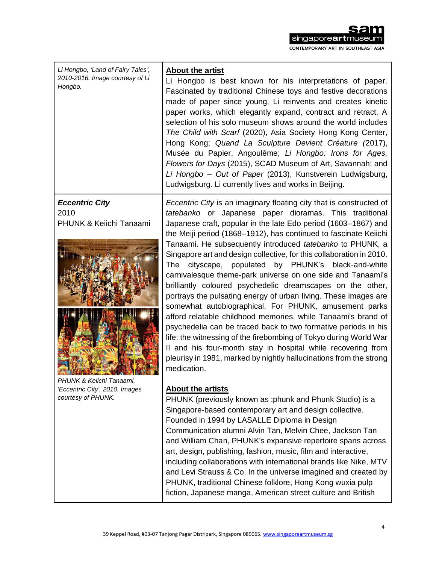# singapore**art**mus CONTEMPORARY ART IN SOUTHEAST ASIA

*Li Hongbo, 'Land of Fairy Tales', 2010-2016. Image courtesy of Li Hongbo.* **About the artist**  Li Hongbo is best known for his interpretations of paper. Fascinated by traditional Chinese toys and festive decorations made of paper since young, Li reinvents and creates kinetic paper works, which elegantly expand, contract and retract. A selection of his solo museum shows around the world includes *The Child with Scarf* (2020), Asia Society Hong Kong Center, Hong Kong; *Quand La Sculpture Devient Créature (*2017), Musée du Papier, Angoulême; *Li Hongbo: Irons for Ages, Flowers for Days* (2015), SCAD Museum of Art, Savannah; and *Li Hongbo – Out of Paper* (2013), Kunstverein Ludwigsburg, Ludwigsburg. Li currently lives and works in Beijing. *Eccentric City* 2010 PHUNK & Keiichi Tanaami *PHUNK & Keiichi Tanaami, 'Eccentric City', 2010. Images courtesy of PHUNK. Eccentric City* is an imaginary floating city that is constructed of *tatebanko* or Japanese paper dioramas. This traditional Japanese craft, popular in the late Edo period (1603–1867) and the Meiji period (1868–1912), has continued to fascinate Keiichi Tanaami. He subsequently introduced *tatebanko* to PHUNK, a Singapore art and design collective, for this collaboration in 2010. The cityscape, populated by PHUNK's black-and-white carnivalesque theme-park universe on one side and Tanaami's brilliantly coloured psychedelic dreamscapes on the other, portrays the pulsating energy of urban living. These images are somewhat autobiographical. For PHUNK, amusement parks afford relatable childhood memories, while Tanaami's brand of psychedelia can be traced back to two formative periods in his life: the witnessing of the firebombing of Tokyo during World War II and his four-month stay in hospital while recovering from pleurisy in 1981, marked by nightly hallucinations from the strong medication. **About the artists** PHUNK (previously known as :phunk and Phunk Studio) is a Singapore-based contemporary art and design collective. Founded in 1994 by LASALLE Diploma in Design Communication alumni Alvin Tan, Melvin Chee, Jackson Tan and William Chan, PHUNK's expansive repertoire spans across art, design, publishing, fashion, music, film and interactive, including collaborations with international brands like Nike, MTV

and Levi Strauss & Co. In the universe imagined and created by PHUNK, traditional Chinese folklore, Hong Kong wuxia pulp fiction, Japanese manga, American street culture and British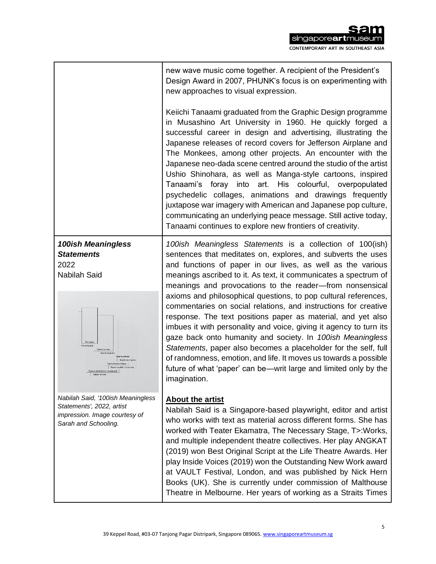|                                                                                                                         | new wave music come together. A recipient of the President's<br>Design Award in 2007, PHUNK's focus is on experimenting with<br>new approaches to visual expression.                                                                                                                                                                                                                                                                                                                                                                                                                                                                                                                                                                                                         |
|-------------------------------------------------------------------------------------------------------------------------|------------------------------------------------------------------------------------------------------------------------------------------------------------------------------------------------------------------------------------------------------------------------------------------------------------------------------------------------------------------------------------------------------------------------------------------------------------------------------------------------------------------------------------------------------------------------------------------------------------------------------------------------------------------------------------------------------------------------------------------------------------------------------|
|                                                                                                                         | Keiichi Tanaami graduated from the Graphic Design programme<br>in Musashino Art University in 1960. He quickly forged a<br>successful career in design and advertising, illustrating the<br>Japanese releases of record covers for Jefferson Airplane and<br>The Monkees, among other projects. An encounter with the<br>Japanese neo-dada scene centred around the studio of the artist<br>Ushio Shinohara, as well as Manga-style cartoons, inspired<br>Tanaami's foray into art. His colourful, overpopulated<br>psychedelic collages, animations and drawings frequently<br>juxtapose war imagery with American and Japanese pop culture,<br>communicating an underlying peace message. Still active today,<br>Tanaami continues to explore new frontiers of creativity. |
| <b>100ish Meaningless</b>                                                                                               | 100ish Meaningless Statements is a collection of 100(ish)                                                                                                                                                                                                                                                                                                                                                                                                                                                                                                                                                                                                                                                                                                                    |
| <b>Statements</b>                                                                                                       | sentences that meditates on, explores, and subverts the uses                                                                                                                                                                                                                                                                                                                                                                                                                                                                                                                                                                                                                                                                                                                 |
| 2022                                                                                                                    | and functions of paper in our lives, as well as the various                                                                                                                                                                                                                                                                                                                                                                                                                                                                                                                                                                                                                                                                                                                  |
| <b>Nabilah Said</b>                                                                                                     | meanings ascribed to it. As text, it communicates a spectrum of                                                                                                                                                                                                                                                                                                                                                                                                                                                                                                                                                                                                                                                                                                              |
|                                                                                                                         | meanings and provocations to the reader-from nonsensical                                                                                                                                                                                                                                                                                                                                                                                                                                                                                                                                                                                                                                                                                                                     |
| <b>This is paper</b><br>hickerst paper.<br>Paper is lour dess                                                           | axioms and philosophical questions, to pop cultural references,<br>commentaries on social relations, and instructions for creative<br>response. The text positions paper as material, and yet also<br>imbues it with personality and voice, giving it agency to turn its<br>gaze back onto humanity and society. In 100ish Meaningless<br>Statements, paper also becomes a placeholder for the self, full<br>of randomness, emotion, and life. It moves us towards a possible<br>future of what 'paper' can be—writ large and limited only by the<br>imagination.                                                                                                                                                                                                            |
| Nabilah Said, '100ish Meaningless<br>Statements', 2022, artist<br>impression. Image courtesy of<br>Sarah and Schooling. | About the artist<br>Nabilah Said is a Singapore-based playwright, editor and artist<br>who works with text as material across different forms. She has<br>worked with Teater Ekamatra, The Necessary Stage, T>: Works,<br>and multiple independent theatre collectives. Her play ANGKAT<br>(2019) won Best Original Script at the Life Theatre Awards. Her<br>play Inside Voices (2019) won the Outstanding New Work award<br>at VAULT Festival, London, and was published by Nick Hern<br>Books (UK). She is currently under commission of Malthouse<br>Theatre in Melbourne. Her years of working as a Straits Times                                                                                                                                                       |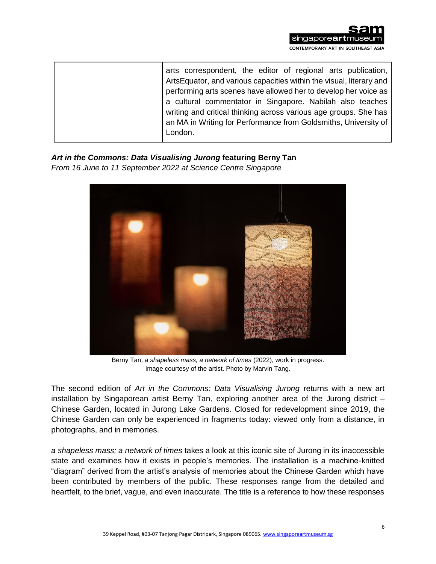

| arts correspondent, the editor of regional arts publication,<br>ArtsEquator, and various capacities within the visual, literary and<br>performing arts scenes have allowed her to develop her voice as<br>a cultural commentator in Singapore. Nabilah also teaches<br>writing and critical thinking across various age groups. She has<br>an MA in Writing for Performance from Goldsmiths, University of |
|------------------------------------------------------------------------------------------------------------------------------------------------------------------------------------------------------------------------------------------------------------------------------------------------------------------------------------------------------------------------------------------------------------|
| London.                                                                                                                                                                                                                                                                                                                                                                                                    |

*Art in the Commons: Data Visualising Jurong* **featuring Berny Tan** *From 16 June to 11 September 2022 at Science Centre Singapore*



Berny Tan, *a shapeless mass; a network of times* (2022), work in progress. Image courtesy of the artist. Photo by Marvin Tang.

The second edition of *Art in the Commons: Data Visualising Jurong* returns with a new art installation by Singaporean artist Berny Tan, exploring another area of the Jurong district – Chinese Garden, located in Jurong Lake Gardens. Closed for redevelopment since 2019, the Chinese Garden can only be experienced in fragments today: viewed only from a distance, in photographs, and in memories.

*a shapeless mass; a network of times* takes a look at this iconic site of Jurong in its inaccessible state and examines how it exists in people's memories. The installation is a machine-knitted "diagram" derived from the artist's analysis of memories about the Chinese Garden which have been contributed by members of the public. These responses range from the detailed and heartfelt, to the brief, vague, and even inaccurate. The title is a reference to how these responses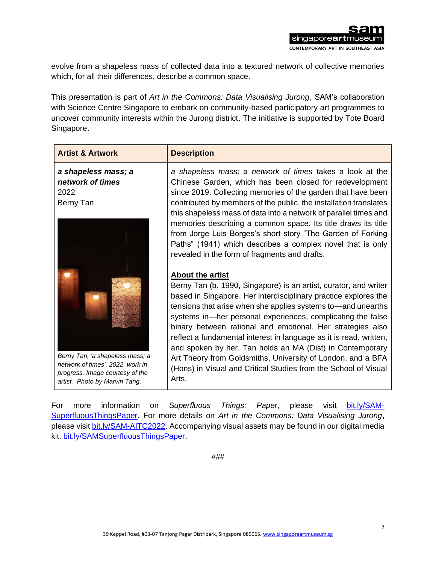evolve from a shapeless mass of collected data into a textured network of collective memories which, for all their differences, describe a common space.

This presentation is part of *Art in the Commons: Data Visualising Jurong*, SAM's collaboration with Science Centre Singapore to embark on community-based participatory art programmes to uncover community interests within the Jurong district. The initiative is supported by Tote Board Singapore.

| <b>Artist &amp; Artwork</b>                                                                                                             | <b>Description</b>                                                                                                                                                                                                                                                                                                                                                                                                                                                                                                                                                                                                                        |
|-----------------------------------------------------------------------------------------------------------------------------------------|-------------------------------------------------------------------------------------------------------------------------------------------------------------------------------------------------------------------------------------------------------------------------------------------------------------------------------------------------------------------------------------------------------------------------------------------------------------------------------------------------------------------------------------------------------------------------------------------------------------------------------------------|
| a shapeless mass; a<br>network of times<br>2022<br>Berny Tan                                                                            | a shapeless mass; a network of times takes a look at the<br>Chinese Garden, which has been closed for redevelopment<br>since 2019. Collecting memories of the garden that have been<br>contributed by members of the public, the installation translates<br>this shapeless mass of data into a network of parallel times and<br>memories describing a common space. Its title draws its title<br>from Jorge Luis Borges's short story "The Garden of Forking<br>Paths" (1941) which describes a complex novel that is only<br>revealed in the form of fragments and drafts.                                                               |
| Berny Tan, 'a shapeless mass; a<br>network of times', 2022, work in<br>progress. Image courtesy of the<br>artist. Photo by Marvin Tang. | <b>About the artist</b><br>Berny Tan (b. 1990, Singapore) is an artist, curator, and writer<br>based in Singapore. Her interdisciplinary practice explores the<br>tensions that arise when she applies systems to—and unearths<br>systems in—her personal experiences, complicating the false<br>binary between rational and emotional. Her strategies also<br>reflect a fundamental interest in language as it is read, written,<br>and spoken by her. Tan holds an MA (Dist) in Contemporary<br>Art Theory from Goldsmiths, University of London, and a BFA<br>(Hons) in Visual and Critical Studies from the School of Visual<br>Arts. |

For more information on *Superfluous Things: Paper*, please visit [bit.ly/SAM-](https://www.singaporeartmuseum.sg/art-events/exhibitions/superfluous-things)[SuperfluousThingsPaper.](https://www.singaporeartmuseum.sg/art-events/exhibitions/superfluous-things) For more details on *Art in the Commons: Data Visualising Jurong*, please visit [bit.ly/SAM-AITC2022.](https://www.singaporeartmuseum.sg/art-events/exhibitions/aitc-2022) Accompanying visual assets may be found in our digital media kit: [bit.ly/SAMSuperfluousThingsPaper.](https://bit.ly/SAMSuperfluousThingsPaper)

###